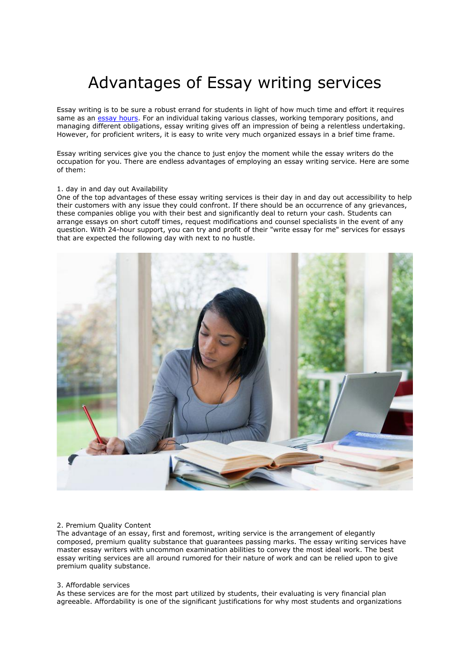# Advantages of Essay writing services

Essay writing is to be sure a robust errand for students in light of how much time and effort it requires same as an [essay hours.](https://essayhours.com/) For an individual taking various classes, working temporary positions, and managing different obligations, essay writing gives off an impression of being a relentless undertaking. However, for proficient writers, it is easy to write very much organized essays in a brief time frame.

Essay writing services give you the chance to just enjoy the moment while the essay writers do the occupation for you. There are endless advantages of employing an essay writing service. Here are some of them:

### 1. day in and day out Availability

One of the top advantages of these essay writing services is their day in and day out accessibility to help their customers with any issue they could confront. If there should be an occurrence of any grievances, these companies oblige you with their best and significantly deal to return your cash. Students can arrange essays on short cutoff times, request modifications and counsel specialists in the event of any question. With 24-hour support, you can try and profit of their "write essay for me" services for essays that are expected the following day with next to no hustle.



## 2. Premium Quality Content

The advantage of an essay, first and foremost, writing service is the arrangement of elegantly composed, premium quality substance that guarantees passing marks. The essay writing services have master essay writers with uncommon examination abilities to convey the most ideal work. The best essay writing services are all around rumored for their nature of work and can be relied upon to give premium quality substance.

# 3. Affordable services

As these services are for the most part utilized by students, their evaluating is very financial plan agreeable. Affordability is one of the significant justifications for why most students and organizations